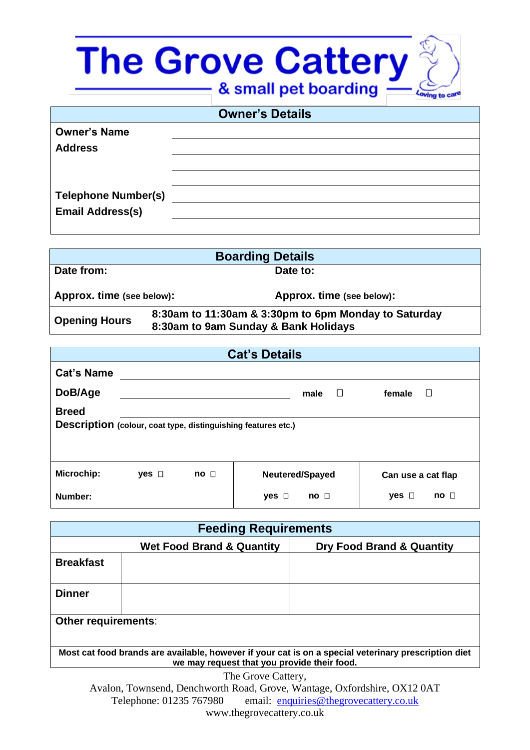## The Grove Cattery

| <b>Owner's Details</b>     |  |  |
|----------------------------|--|--|
| <b>Owner's Name</b>        |  |  |
| <b>Address</b>             |  |  |
|                            |  |  |
|                            |  |  |
| <b>Telephone Number(s)</b> |  |  |
| <b>Email Address(s)</b>    |  |  |
|                            |  |  |

| <b>Boarding Details</b>   |                                                                                              |  |
|---------------------------|----------------------------------------------------------------------------------------------|--|
| Date from:                | Date to:                                                                                     |  |
| Approx. time (see below): | Approx. time (see below):                                                                    |  |
| <b>Opening Hours</b>      | 8:30am to 11:30am & 3:30pm to 6pm Monday to Saturday<br>8:30am to 9am Sunday & Bank Holidays |  |

| <b>Cat's Details</b>                                                          |               |                 |                             |                              |
|-------------------------------------------------------------------------------|---------------|-----------------|-----------------------------|------------------------------|
| <b>Cat's Name</b>                                                             |               |                 |                             |                              |
| DoB/Age                                                                       |               |                 | $\Box$<br>male              | $\Box$<br>female             |
| <b>Breed</b><br>Description (colour, coat type, distinguishing features etc.) |               |                 |                             |                              |
| Microchip:                                                                    | yes $\square$ | no <sub>1</sub> | Neutered/Spayed             | Can use a cat flap           |
| Number:                                                                       |               |                 | $yes$ $\Box$<br>$no$ $\Box$ | $no$ $\Box$<br>yes $\square$ |

| <b>Feeding Requirements</b>                                                                                                                         |                                      |                           |  |
|-----------------------------------------------------------------------------------------------------------------------------------------------------|--------------------------------------|---------------------------|--|
|                                                                                                                                                     | <b>Wet Food Brand &amp; Quantity</b> | Dry Food Brand & Quantity |  |
| <b>Breakfast</b>                                                                                                                                    |                                      |                           |  |
| <b>Dinner</b>                                                                                                                                       |                                      |                           |  |
| Other requirements:                                                                                                                                 |                                      |                           |  |
| Most cat food brands are available, however if your cat is on a special veterinary prescription diet<br>we may request that you provide their food. |                                      |                           |  |
|                                                                                                                                                     | $\sim$ $\sim$ $\sim$ $\sim$          |                           |  |

The Grove Cattery, Avalon, Townsend, Denchworth Road, Grove, Wantage, Oxfordshire, OX12 0AT Telephone: 01235 767980 email: [enquiries@thegrovecattery.co.uk](mailto:enquiries@thegrovecattery.co.uk)

www.thegrovecattery.co.uk